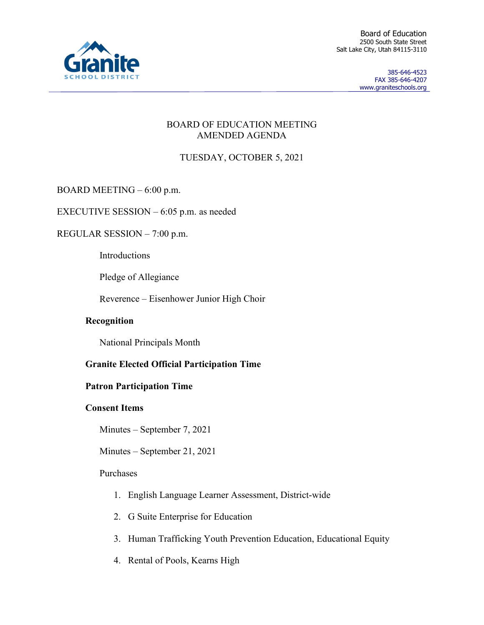

Board of Education 2500 South State Street Salt Lake City, Utah 84115-3110

> 385-646-4523 FAX 385-646-4207 www.graniteschools.org

### BOARD OF EDUCATION MEETING AMENDED AGENDA

# TUESDAY, OCTOBER 5, 2021

BOARD MEETING – 6:00 p.m.

EXECUTIVE SESSION – 6:05 p.m. as needed

REGULAR SESSION – 7:00 p.m.

Introductions

Pledge of Allegiance

Reverence – Eisenhower Junior High Choir

## **Recognition**

National Principals Month

## **Granite Elected Official Participation Time**

## **Patron Participation Time**

## **Consent Items**

Minutes – September 7, 2021

Minutes – September 21, 2021

## Purchases

- 1. English Language Learner Assessment, District-wide
- 2. G Suite Enterprise for Education
- 3. Human Trafficking Youth Prevention Education, Educational Equity
- 4. Rental of Pools, Kearns High